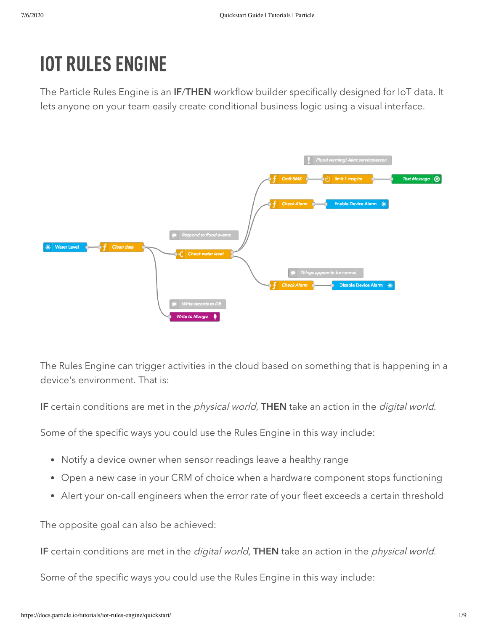# IOT RULES ENGINE

The Particle Rules Engine is an IF/THEN workflow builder specifically designed for IoT data. It lets anyone on your team easily create conditional business logic using a visual interface.



The Rules Engine can trigger activities in the cloud based on something that is happening in a device's environment. That is:

IF certain conditions are met in the *physical world*, THEN take an action in the *digital world*.

Some of the specific ways you could use the Rules Engine in this way include:

- Notify a device owner when sensor readings leave a healthy range
- Open a new case in your CRM of choice when a hardware component stops functioning
- Alert your on-call engineers when the error rate of your fleet exceeds a certain threshold

The opposite goal can also be achieved:

IF certain conditions are met in the *digital world*, THEN take an action in the *physical world*.

Some of the specific ways you could use the Rules Engine in this way include: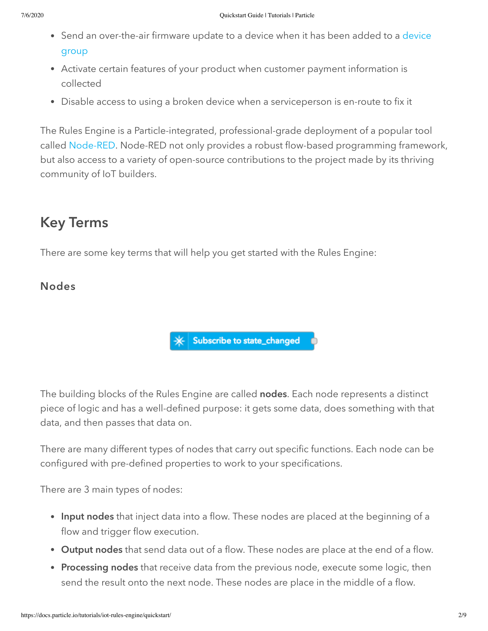- [Send an over-the-air firmware update to a device when it has been added to a](https://docs.particle.io/tutorials/product-tools/device-groups/) device group
- Activate certain features of your product when customer payment information is collected
- Disable access to using a broken device when a serviceperson is en-route to fix it

The Rules Engine is a Particle-integrated, professional-grade deployment of a popular tool called [Node-RED.](https://nodered.org/) Node-RED not only provides a robust flow-based programming framework, but also access to a variety of open-source contributions to the project made by its thriving community of IoT builders.

# Key Terms

There are some key terms that will help you get started with the Rules Engine:

### Nodes



The building blocks of the Rules Engine are called nodes. Each node represents a distinct piece of logic and has a well-defined purpose: it gets some data, does something with that data, and then passes that data on.

There are many different types of nodes that carry out specific functions. Each node can be configured with pre-defined properties to work to your specifications.

There are 3 main types of nodes:

- Input nodes that inject data into a flow. These nodes are placed at the beginning of a flow and trigger flow execution.
- Output nodes that send data out of a flow. These nodes are place at the end of a flow.
- Processing nodes that receive data from the previous node, execute some logic, then send the result onto the next node. These nodes are place in the middle of a flow.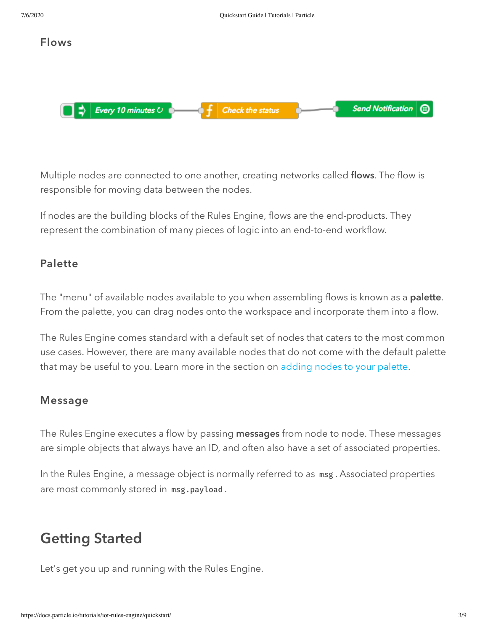

Multiple nodes are connected to one another, creating networks called flows. The flow is responsible for moving data between the nodes.

If nodes are the building blocks of the Rules Engine, flows are the end-products. They represent the combination of many pieces of logic into an end-to-end workflow.

#### <span id="page-2-0"></span>Palette

The "menu" of available nodes available to you when assembling flows is known as a **palette**. From the palette, you can drag nodes onto the workspace and incorporate them into a flow.

The Rules Engine comes standard with a default set of nodes that caters to the most common use cases. However, there are many available nodes that do not come with the default palette that may be useful to you. Learn more in the section on [adding nodes to your palette](#page-7-0).

#### Message

The Rules Engine executes a flow by passing messages from node to node. These messages are simple objects that always have an ID, and often also have a set of associated properties.

In the Rules Engine, a message object is normally referred to as msg . Associated properties are most commonly stored in msg.payload .

## Getting Started

Let's get you up and running with the Rules Engine.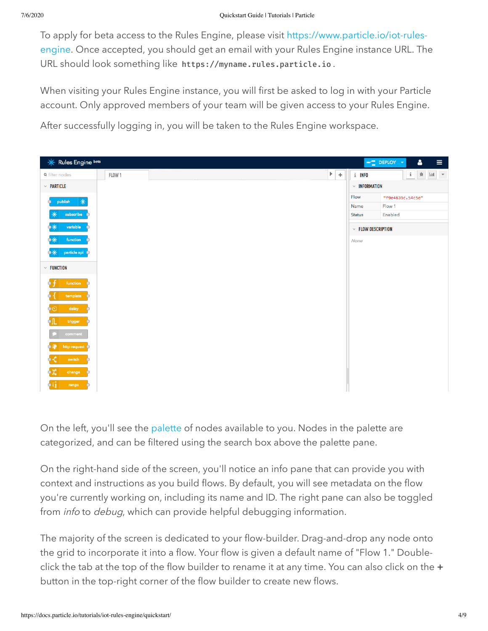To apply for beta access to the Rules Engine, please visit https://www.particle.io/iot-rules[engine. Once accepted, you should get an email with your Rules Engine instance URL. Th](https://www.particle.io/iot-rules-engine)e URL should look something like https://myname.rules.particle.io .

When visiting your Rules Engine instance, you will first be asked to log in with your Particle account. Only approved members of your team will be given access to your Rules Engine.

After successfully logging in, you will be taken to the Rules Engine workspace.



On the left, you'll see the [palette](#page-2-0) of nodes available to you. Nodes in the palette are categorized, and can be filtered using the search box above the palette pane.

On the right-hand side of the screen, you'll notice an info pane that can provide you with context and instructions as you build flows. By default, you will see metadata on the flow you're currently working on, including its name and ID. The right pane can also be toggled from *info* to *debug*, which can provide helpful debugging information.

The majority of the screen is dedicated to your flow-builder. Drag-and-drop any node onto the grid to incorporate it into a flow. Your flow is given a default name of "Flow 1." Doubleclick the tab at the top of the flow builder to rename it at any time. You can also click on the + button in the top-right corner of the flow builder to create new flows.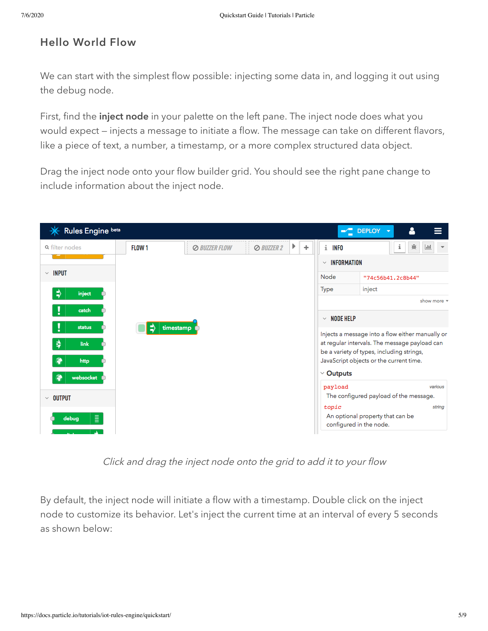### Hello World Flow

We can start with the simplest flow possible: injecting some data in, and logging it out using the debug node.

First, find the *inject node* in your palette on the left pane. The inject node does what you would expect — injects a message to initiate a flow. The message can take on different flavors, like a piece of text, a number, a timestamp, or a more complex structured data object.

Drag the inject node onto your flow builder grid. You should see the right pane change to include information about the inject node.

| <b>Rules Engine beta</b> |                      |                   |         |                                                             | $\blacktriangleright$ DEPLOY<br>$\overline{\phantom{a}}$                                   |  |
|--------------------------|----------------------|-------------------|---------|-------------------------------------------------------------|--------------------------------------------------------------------------------------------|--|
| <b>FLOW 1</b>            | <b>⊘ BUZZER FLOW</b> | <b>⊘ BUZZER 2</b> | Þ.<br>÷ | i INFO                                                      | 兼<br>i<br>$ $ did<br>$\overline{\phantom{a}}$                                              |  |
|                          |                      |                   |         | <b>INFORMATION</b><br>$\checkmark$                          |                                                                                            |  |
|                          |                      |                   |         | Node                                                        | "74c56b41.2c8b44"                                                                          |  |
|                          |                      |                   |         | Type                                                        | inject                                                                                     |  |
|                          |                      |                   |         |                                                             | show more $\rightarrow$                                                                    |  |
|                          |                      |                   |         | <b>NODE HELP</b><br>$\checkmark$                            |                                                                                            |  |
| ₿<br>timestamp           |                      |                   |         | Injects a message into a flow either manually or            |                                                                                            |  |
|                          |                      |                   |         |                                                             | at regular intervals. The message payload can<br>be a variety of types, including strings, |  |
|                          |                      |                   |         |                                                             | JavaScript objects or the current time.                                                    |  |
|                          |                      |                   |         | $\vee$ Outputs                                              |                                                                                            |  |
|                          |                      |                   |         | payload                                                     | various                                                                                    |  |
|                          |                      |                   |         |                                                             | The configured payload of the message.<br>string                                           |  |
|                          |                      |                   |         | An optional property that can be<br>configured in the node. |                                                                                            |  |
|                          |                      |                   |         |                                                             | topic                                                                                      |  |

Click and drag the inject node onto the grid to add it to your flow

By default, the inject node will initiate a flow with a timestamp. Double click on the inject node to customize its behavior. Let's inject the current time at an interval of every 5 seconds as shown below: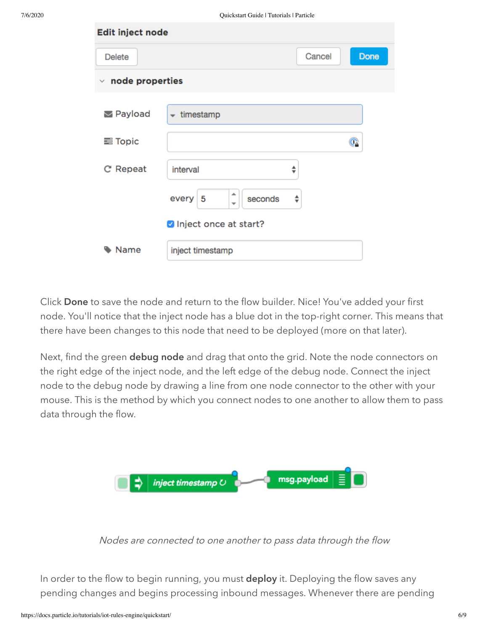| Edit inject node      |                                                        |        |      |
|-----------------------|--------------------------------------------------------|--------|------|
| <b>Delete</b>         |                                                        | Cancel | Done |
| node properties<br>v. |                                                        |        |      |
| Payload               | timestamp<br>$\overline{\phantom{a}}$                  |        |      |
| <b>三 Topic</b>        |                                                        |        | Œ    |
| C' Repeat             | interval                                               | ♦      |      |
|                       | ∸<br>every<br>seconds<br>5<br>$\overline{\phantom{a}}$ | ÷      |      |
|                       | Inject once at start?                                  |        |      |
| Name                  | inject timestamp                                       |        |      |

Click Done to save the node and return to the flow builder. Nice! You've added your first node. You'll notice that the inject node has a blue dot in the top-right corner. This means that there have been changes to this node that need to be deployed (more on that later).

Next, find the green debug node and drag that onto the grid. Note the node connectors on the right edge of the inject node, and the left edge of the debug node. Connect the inject node to the debug node by drawing a line from one node connector to the other with your mouse. This is the method by which you connect nodes to one another to allow them to pass data through the flow.



Nodes are connected to one another to pass data through the flow

In order to the flow to begin running, you must deploy it. Deploying the flow saves any pending changes and begins processing inbound messages. Whenever there are pending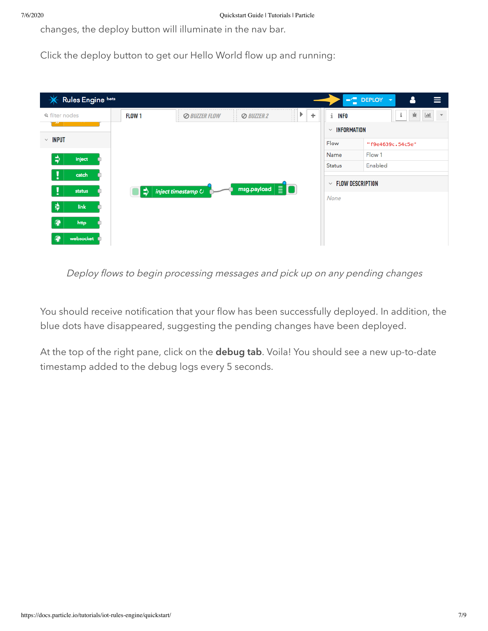changes, the deploy button will illuminate in the nav bar.

Click the deploy button to get our Hello World flow up and running:

| Rules Engine beta<br>$\mathcal{L}$ |        |                             |                                             |                     |                                         | Δ<br>$\blacksquare$ DEPLOY<br>≡<br>$\overline{\phantom{a}}$ |
|------------------------------------|--------|-----------------------------|---------------------------------------------|---------------------|-----------------------------------------|-------------------------------------------------------------|
| <b>Q</b> filter nodes              | FLOW 1 | <b><i>© BUZZER FLOW</i></b> | <b>⊘</b> BUZZER 2<br>$\mathbb{H}$           | Þ.<br>÷<br>Н<br>. . | i.<br><b>INFO</b>                       | 兼<br>i<br> <br>$\overline{\phantom{a}}$                     |
|                                    |        |                             |                                             |                     | $\vee$ INFORMATION                      |                                                             |
| $~\vee~$ INPUT                     |        |                             |                                             |                     | Flow                                    | "f9e4639c.54c5e"                                            |
| $\Rightarrow$<br>inject            |        |                             |                                             |                     | Name                                    | Flow 1                                                      |
|                                    |        |                             |                                             |                     | <b>Status</b>                           | Enabled                                                     |
| catch                              |        |                             |                                             |                     | <b>FLOW DESCRIPTION</b><br>$\checkmark$ |                                                             |
| status                             | ⇒      | $ $ inject timestamp $\cup$ | msg.payload $\boxed{\equiv}$ $\boxed{\Box}$ |                     |                                         |                                                             |
| 幸<br>link                          |        |                             |                                             |                     | None                                    |                                                             |
| P<br>http                          |        |                             |                                             |                     |                                         |                                                             |
| websocket <b>O</b>                 |        |                             |                                             |                     |                                         |                                                             |

Deploy flows to begin processing messages and pick up on any pending changes

You should receive notification that your flow has been successfully deployed. In addition, the blue dots have disappeared, suggesting the pending changes have been deployed.

At the top of the right pane, click on the debug tab. Voila! You should see a new up-to-date timestamp added to the debug logs every 5 seconds.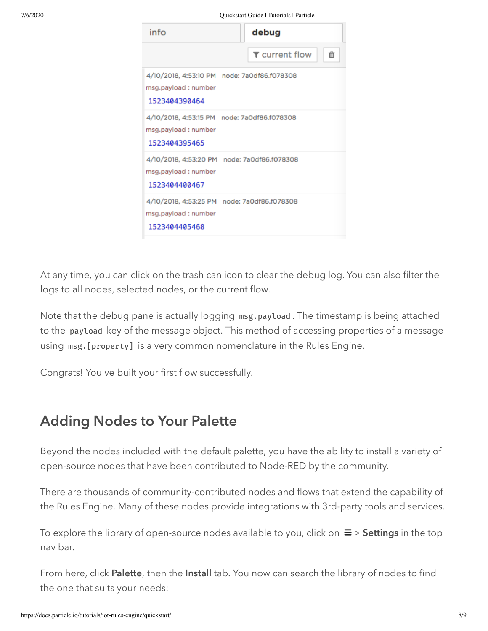7/6/2020 Quickstart Guide | Tutorials | Particle

| info                                  | debug                                       |
|---------------------------------------|---------------------------------------------|
|                                       | ▼ current flow<br>m                         |
| msg.payload : number<br>1523404390464 | 4/10/2018, 4:53:10 PM node: 7a0df86.f078308 |
| msg.payload : number<br>1523404395465 | 4/10/2018, 4:53:15 PM node: 7a0df86.f078308 |
| msg.payload : number<br>1523404400467 | 4/10/2018, 4:53:20 PM node: 7a0df86.f078308 |
| msg.payload : number<br>1523404405468 | 4/10/2018, 4:53:25 PM node: 7a0df86.f078308 |

At any time, you can click on the trash can icon to clear the debug log. You can also filter the logs to all nodes, selected nodes, or the current flow.

Note that the debug pane is actually logging msg.payload . The timestamp is being attached to the payload key of the message object. This method of accessing properties of a message using msg.[property] is a very common nomenclature in the Rules Engine.

<span id="page-7-0"></span>Congrats! You've built your first flow successfully.

### Adding Nodes to Your Palette

Beyond the nodes included with the default palette, you have the ability to install a variety of open-source nodes that have been contributed to Node-RED by the community.

There are thousands of community-contributed nodes and flows that extend the capability of the Rules Engine. Many of these nodes provide integrations with 3rd-party tools and services.

To explore the library of open-source nodes available to you, click on  $\equiv$  > Settings in the top nav bar.

From here, click Palette, then the Install tab. You now can search the library of nodes to find the one that suits your needs: